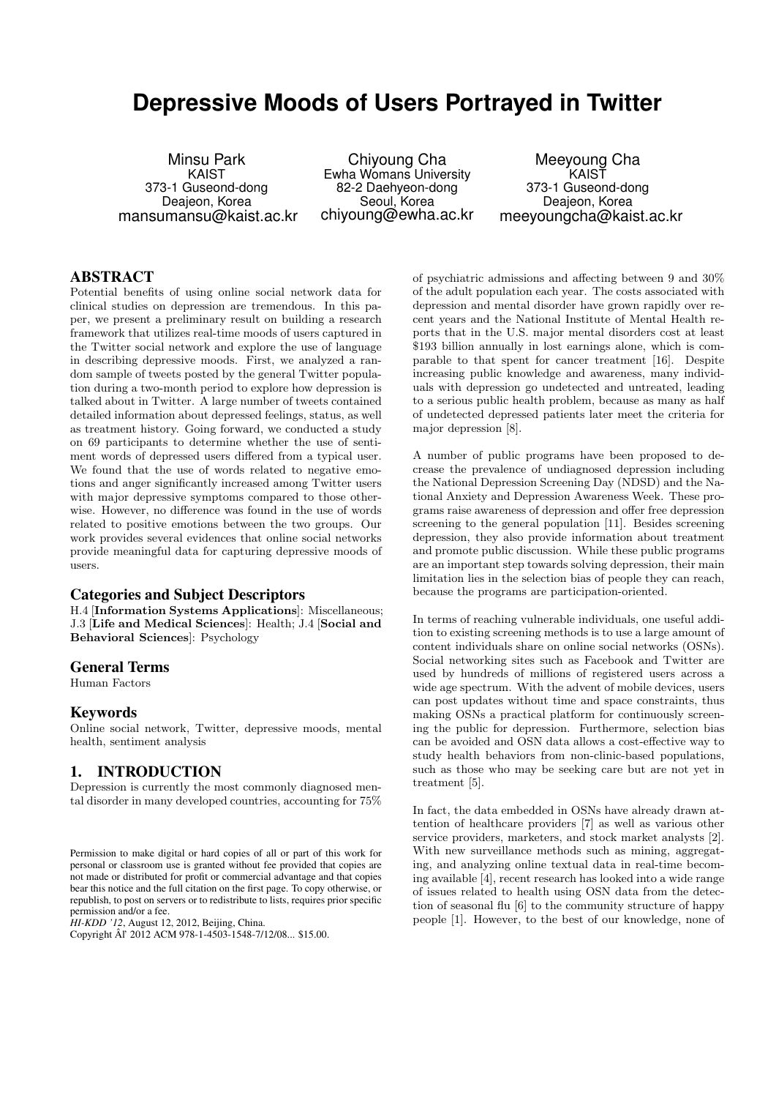# **Depressive Moods of Users Portrayed in Twitter**

Minsu Park KAIST 373-1 Guseond-dong Deajeon, Korea mansumansu@kaist.ac.kr

Chiyoung Cha Ewha Womans University 82-2 Daehyeon-dong Seoul, Korea chiyoung@ewha.ac.kr

Meeyoung Cha KAIST 373-1 Guseond-dong Deajeon, Korea meeyoungcha@kaist.ac.kr

### ABSTRACT

Potential benefits of using online social network data for clinical studies on depression are tremendous. In this paper, we present a preliminary result on building a research framework that utilizes real-time moods of users captured in the Twitter social network and explore the use of language in describing depressive moods. First, we analyzed a random sample of tweets posted by the general Twitter population during a two-month period to explore how depression is talked about in Twitter. A large number of tweets contained detailed information about depressed feelings, status, as well as treatment history. Going forward, we conducted a study on 69 participants to determine whether the use of sentiment words of depressed users differed from a typical user. We found that the use of words related to negative emotions and anger significantly increased among Twitter users with major depressive symptoms compared to those otherwise. However, no difference was found in the use of words related to positive emotions between the two groups. Our work provides several evidences that online social networks provide meaningful data for capturing depressive moods of users.

#### Categories and Subject Descriptors

H.4 [Information Systems Applications]: Miscellaneous; J.3 [Life and Medical Sciences]: Health; J.4 [Social and Behavioral Sciences]: Psychology

#### General Terms

Human Factors

#### Keywords

Online social network, Twitter, depressive moods, mental health, sentiment analysis

### 1. INTRODUCTION

Depression is currently the most commonly diagnosed mental disorder in many developed countries, accounting for 75%

*HI-KDD '12*, August 12, 2012, Beijing, China.

of psychiatric admissions and affecting between 9 and 30% of the adult population each year. The costs associated with depression and mental disorder have grown rapidly over recent years and the National Institute of Mental Health reports that in the U.S. major mental disorders cost at least \$193 billion annually in lost earnings alone, which is comparable to that spent for cancer treatment [16]. Despite increasing public knowledge and awareness, many individuals with depression go undetected and untreated, leading to a serious public health problem, because as many as half of undetected depressed patients later meet the criteria for major depression [8].

A number of public programs have been proposed to decrease the prevalence of undiagnosed depression including the National Depression Screening Day (NDSD) and the National Anxiety and Depression Awareness Week. These programs raise awareness of depression and offer free depression screening to the general population [11]. Besides screening depression, they also provide information about treatment and promote public discussion. While these public programs are an important step towards solving depression, their main limitation lies in the selection bias of people they can reach, because the programs are participation-oriented.

In terms of reaching vulnerable individuals, one useful addition to existing screening methods is to use a large amount of content individuals share on online social networks (OSNs). Social networking sites such as Facebook and Twitter are used by hundreds of millions of registered users across a wide age spectrum. With the advent of mobile devices, users can post updates without time and space constraints, thus making OSNs a practical platform for continuously screening the public for depression. Furthermore, selection bias can be avoided and OSN data allows a cost-effective way to study health behaviors from non-clinic-based populations, such as those who may be seeking care but are not yet in treatment [5].

In fact, the data embedded in OSNs have already drawn attention of healthcare providers [7] as well as various other service providers, marketers, and stock market analysts [2]. With new surveillance methods such as mining, aggregating, and analyzing online textual data in real-time becoming available [4], recent research has looked into a wide range of issues related to health using OSN data from the detection of seasonal flu [6] to the community structure of happy people [1]. However, to the best of our knowledge, none of

Permission to make digital or hard copies of all or part of this work for personal or classroom use is granted without fee provided that copies are not made or distributed for profit or commercial advantage and that copies bear this notice and the full citation on the first page. To copy otherwise, or republish, to post on servers or to redistribute to lists, requires prior specific permission and/or a fee.

Copyright Âl' 2012 ACM 978-1-4503-1548-7/12/08... \$15.00.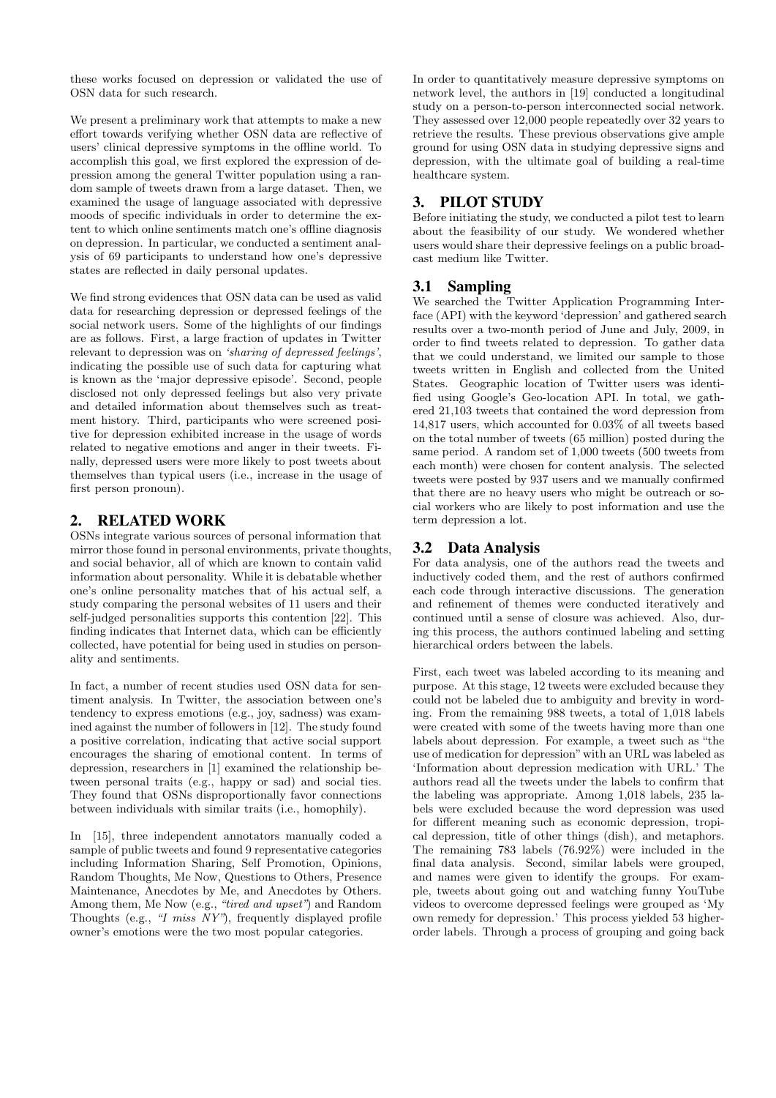these works focused on depression or validated the use of OSN data for such research.

We present a preliminary work that attempts to make a new effort towards verifying whether OSN data are reflective of users' clinical depressive symptoms in the offline world. To accomplish this goal, we first explored the expression of depression among the general Twitter population using a random sample of tweets drawn from a large dataset. Then, we examined the usage of language associated with depressive moods of specific individuals in order to determine the extent to which online sentiments match one's offline diagnosis on depression. In particular, we conducted a sentiment analysis of 69 participants to understand how one's depressive states are reflected in daily personal updates.

We find strong evidences that OSN data can be used as valid data for researching depression or depressed feelings of the social network users. Some of the highlights of our findings are as follows. First, a large fraction of updates in Twitter relevant to depression was on 'sharing of depressed feelings', indicating the possible use of such data for capturing what is known as the 'major depressive episode'. Second, people disclosed not only depressed feelings but also very private and detailed information about themselves such as treatment history. Third, participants who were screened positive for depression exhibited increase in the usage of words related to negative emotions and anger in their tweets. Finally, depressed users were more likely to post tweets about themselves than typical users (i.e., increase in the usage of first person pronoun).

### 2. RELATED WORK

OSNs integrate various sources of personal information that mirror those found in personal environments, private thoughts, and social behavior, all of which are known to contain valid information about personality. While it is debatable whether one's online personality matches that of his actual self, a study comparing the personal websites of 11 users and their self-judged personalities supports this contention [22]. This finding indicates that Internet data, which can be efficiently collected, have potential for being used in studies on personality and sentiments.

In fact, a number of recent studies used OSN data for sentiment analysis. In Twitter, the association between one's tendency to express emotions (e.g., joy, sadness) was examined against the number of followers in [12]. The study found a positive correlation, indicating that active social support encourages the sharing of emotional content. In terms of depression, researchers in [1] examined the relationship between personal traits (e.g., happy or sad) and social ties. They found that OSNs disproportionally favor connections between individuals with similar traits (i.e., homophily).

In [15], three independent annotators manually coded a sample of public tweets and found 9 representative categories including Information Sharing, Self Promotion, Opinions, Random Thoughts, Me Now, Questions to Others, Presence Maintenance, Anecdotes by Me, and Anecdotes by Others. Among them, Me Now (e.g., "tired and upset") and Random Thoughts (e.g., "I miss NY"), frequently displayed profile owner's emotions were the two most popular categories.

In order to quantitatively measure depressive symptoms on network level, the authors in [19] conducted a longitudinal study on a person-to-person interconnected social network. They assessed over 12,000 people repeatedly over 32 years to retrieve the results. These previous observations give ample ground for using OSN data in studying depressive signs and depression, with the ultimate goal of building a real-time healthcare system.

# 3. PILOT STUDY

Before initiating the study, we conducted a pilot test to learn about the feasibility of our study. We wondered whether users would share their depressive feelings on a public broadcast medium like Twitter.

# 3.1 Sampling

We searched the Twitter Application Programming Interface (API) with the keyword 'depression' and gathered search results over a two-month period of June and July, 2009, in order to find tweets related to depression. To gather data that we could understand, we limited our sample to those tweets written in English and collected from the United States. Geographic location of Twitter users was identified using Google's Geo-location API. In total, we gathered 21,103 tweets that contained the word depression from 14,817 users, which accounted for 0.03% of all tweets based on the total number of tweets (65 million) posted during the same period. A random set of 1,000 tweets (500 tweets from each month) were chosen for content analysis. The selected tweets were posted by 937 users and we manually confirmed that there are no heavy users who might be outreach or social workers who are likely to post information and use the term depression a lot.

## 3.2 Data Analysis

For data analysis, one of the authors read the tweets and inductively coded them, and the rest of authors confirmed each code through interactive discussions. The generation and refinement of themes were conducted iteratively and continued until a sense of closure was achieved. Also, during this process, the authors continued labeling and setting hierarchical orders between the labels.

First, each tweet was labeled according to its meaning and purpose. At this stage, 12 tweets were excluded because they could not be labeled due to ambiguity and brevity in wording. From the remaining 988 tweets, a total of 1,018 labels were created with some of the tweets having more than one labels about depression. For example, a tweet such as "the use of medication for depression" with an URL was labeled as 'Information about depression medication with URL.' The authors read all the tweets under the labels to confirm that the labeling was appropriate. Among 1,018 labels, 235 labels were excluded because the word depression was used for different meaning such as economic depression, tropical depression, title of other things (dish), and metaphors. The remaining 783 labels (76.92%) were included in the final data analysis. Second, similar labels were grouped, and names were given to identify the groups. For example, tweets about going out and watching funny YouTube videos to overcome depressed feelings were grouped as 'My own remedy for depression.' This process yielded 53 higherorder labels. Through a process of grouping and going back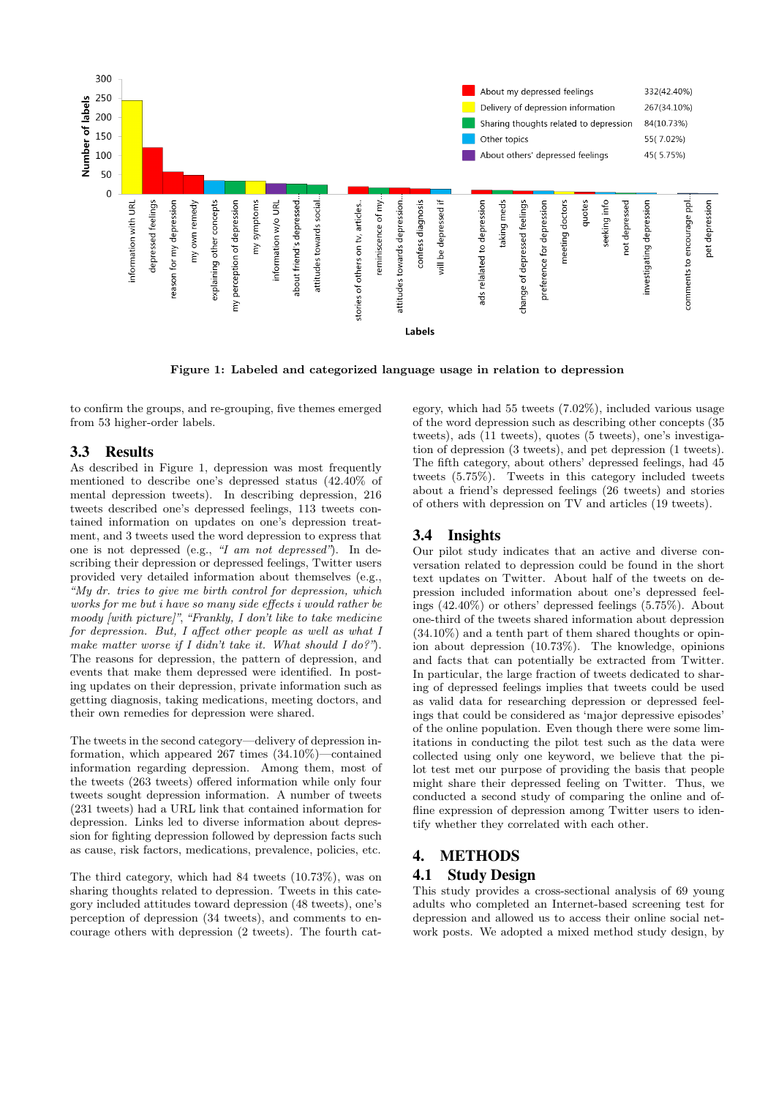

Figure 1: Labeled and categorized language usage in relation to depression

to confirm the groups, and re-grouping, five themes emerged from 53 higher-order labels.

#### 3.3 Results

As described in Figure 1, depression was most frequently mentioned to describe one's depressed status (42.40% of mental depression tweets). In describing depression, 216 tweets described one's depressed feelings, 113 tweets contained information on updates on one's depression treatment, and 3 tweets used the word depression to express that one is not depressed (e.g., "I am not depressed"). In describing their depression or depressed feelings, Twitter users provided very detailed information about themselves (e.g., "My dr. tries to give me birth control for depression, which works for me but i have so many side effects i would rather be moody [with picture]", "Frankly, I don't like to take medicine for depression. But, I affect other people as well as what I make matter worse if I didn't take it. What should I do?"). The reasons for depression, the pattern of depression, and events that make them depressed were identified. In posting updates on their depression, private information such as getting diagnosis, taking medications, meeting doctors, and their own remedies for depression were shared.

The tweets in the second category—delivery of depression information, which appeared 267 times (34.10%)—contained information regarding depression. Among them, most of the tweets (263 tweets) offered information while only four tweets sought depression information. A number of tweets (231 tweets) had a URL link that contained information for depression. Links led to diverse information about depression for fighting depression followed by depression facts such as cause, risk factors, medications, prevalence, policies, etc.

The third category, which had 84 tweets (10.73%), was on sharing thoughts related to depression. Tweets in this category included attitudes toward depression (48 tweets), one's perception of depression (34 tweets), and comments to encourage others with depression (2 tweets). The fourth category, which had 55 tweets (7.02%), included various usage of the word depression such as describing other concepts (35 tweets), ads (11 tweets), quotes (5 tweets), one's investigation of depression (3 tweets), and pet depression (1 tweets). The fifth category, about others' depressed feelings, had 45 tweets (5.75%). Tweets in this category included tweets about a friend's depressed feelings (26 tweets) and stories of others with depression on TV and articles (19 tweets).

### 3.4 Insights

Our pilot study indicates that an active and diverse conversation related to depression could be found in the short text updates on Twitter. About half of the tweets on depression included information about one's depressed feelings (42.40%) or others' depressed feelings (5.75%). About one-third of the tweets shared information about depression (34.10%) and a tenth part of them shared thoughts or opinion about depression (10.73%). The knowledge, opinions and facts that can potentially be extracted from Twitter. In particular, the large fraction of tweets dedicated to sharing of depressed feelings implies that tweets could be used as valid data for researching depression or depressed feelings that could be considered as 'major depressive episodes' of the online population. Even though there were some limitations in conducting the pilot test such as the data were collected using only one keyword, we believe that the pilot test met our purpose of providing the basis that people might share their depressed feeling on Twitter. Thus, we conducted a second study of comparing the online and offline expression of depression among Twitter users to identify whether they correlated with each other.

#### 4. METHODS

#### 4.1 Study Design

This study provides a cross-sectional analysis of 69 young adults who completed an Internet-based screening test for depression and allowed us to access their online social network posts. We adopted a mixed method study design, by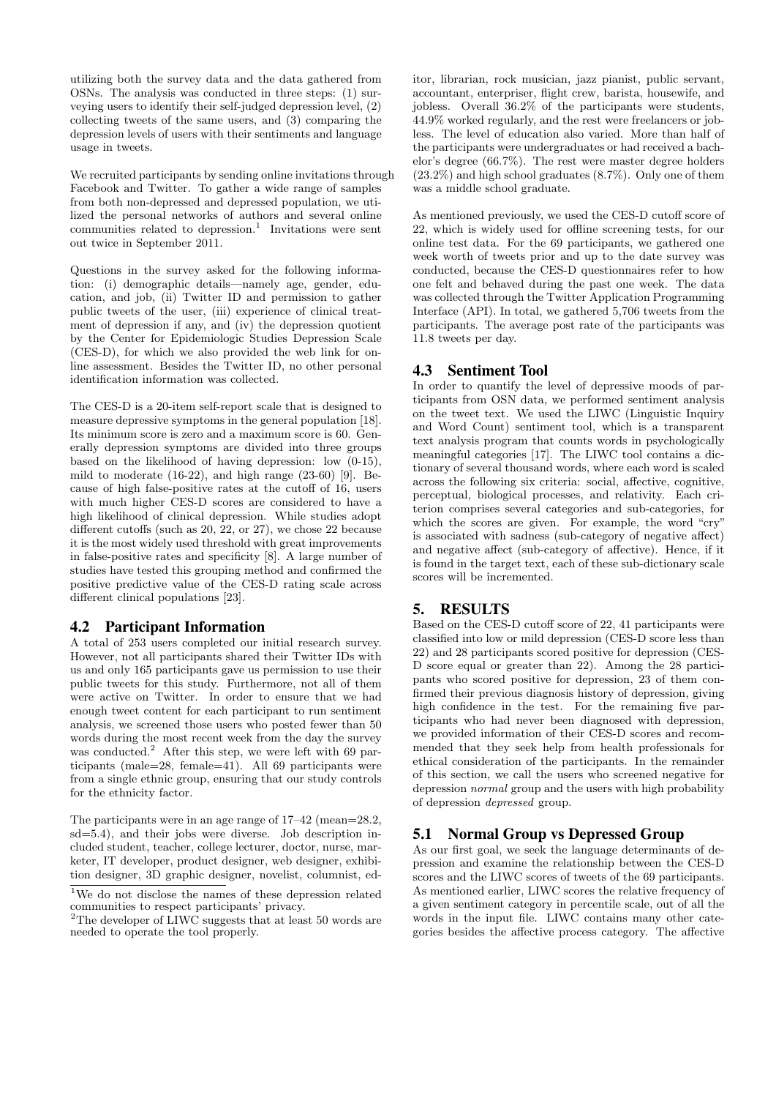utilizing both the survey data and the data gathered from OSNs. The analysis was conducted in three steps: (1) surveying users to identify their self-judged depression level, (2) collecting tweets of the same users, and (3) comparing the depression levels of users with their sentiments and language usage in tweets.

We recruited participants by sending online invitations through Facebook and Twitter. To gather a wide range of samples from both non-depressed and depressed population, we utilized the personal networks of authors and several online communities related to depression.<sup>1</sup> Invitations were sent out twice in September 2011.

Questions in the survey asked for the following information: (i) demographic details—namely age, gender, education, and job, (ii) Twitter ID and permission to gather public tweets of the user, (iii) experience of clinical treatment of depression if any, and (iv) the depression quotient by the Center for Epidemiologic Studies Depression Scale (CES-D), for which we also provided the web link for online assessment. Besides the Twitter ID, no other personal identification information was collected.

The CES-D is a 20-item self-report scale that is designed to measure depressive symptoms in the general population [18]. Its minimum score is zero and a maximum score is 60. Generally depression symptoms are divided into three groups based on the likelihood of having depression: low (0-15), mild to moderate (16-22), and high range (23-60) [9]. Because of high false-positive rates at the cutoff of 16, users with much higher CES-D scores are considered to have a high likelihood of clinical depression. While studies adopt different cutoffs (such as 20, 22, or 27), we chose 22 because it is the most widely used threshold with great improvements in false-positive rates and specificity [8]. A large number of studies have tested this grouping method and confirmed the positive predictive value of the CES-D rating scale across different clinical populations [23].

### 4.2 Participant Information

A total of 253 users completed our initial research survey. However, not all participants shared their Twitter IDs with us and only 165 participants gave us permission to use their public tweets for this study. Furthermore, not all of them were active on Twitter. In order to ensure that we had enough tweet content for each participant to run sentiment analysis, we screened those users who posted fewer than 50 words during the most recent week from the day the survey was conducted.<sup>2</sup> After this step, we were left with 69 participants (male=28, female=41). All 69 participants were from a single ethnic group, ensuring that our study controls for the ethnicity factor.

The participants were in an age range of 17–42 (mean=28.2, sd=5.4), and their jobs were diverse. Job description included student, teacher, college lecturer, doctor, nurse, marketer, IT developer, product designer, web designer, exhibition designer, 3D graphic designer, novelist, columnist, editor, librarian, rock musician, jazz pianist, public servant, accountant, enterpriser, flight crew, barista, housewife, and jobless. Overall 36.2% of the participants were students, 44.9% worked regularly, and the rest were freelancers or jobless. The level of education also varied. More than half of the participants were undergraduates or had received a bachelor's degree (66.7%). The rest were master degree holders (23.2%) and high school graduates (8.7%). Only one of them was a middle school graduate.

As mentioned previously, we used the CES-D cutoff score of 22, which is widely used for offline screening tests, for our online test data. For the 69 participants, we gathered one week worth of tweets prior and up to the date survey was conducted, because the CES-D questionnaires refer to how one felt and behaved during the past one week. The data was collected through the Twitter Application Programming Interface (API). In total, we gathered 5,706 tweets from the participants. The average post rate of the participants was 11.8 tweets per day.

### 4.3 Sentiment Tool

In order to quantify the level of depressive moods of participants from OSN data, we performed sentiment analysis on the tweet text. We used the LIWC (Linguistic Inquiry and Word Count) sentiment tool, which is a transparent text analysis program that counts words in psychologically meaningful categories [17]. The LIWC tool contains a dictionary of several thousand words, where each word is scaled across the following six criteria: social, affective, cognitive, perceptual, biological processes, and relativity. Each criterion comprises several categories and sub-categories, for which the scores are given. For example, the word "cry" is associated with sadness (sub-category of negative affect) and negative affect (sub-category of affective). Hence, if it is found in the target text, each of these sub-dictionary scale scores will be incremented.

# 5. RESULTS

Based on the CES-D cutoff score of 22, 41 participants were classified into low or mild depression (CES-D score less than 22) and 28 participants scored positive for depression (CES-D score equal or greater than 22). Among the 28 participants who scored positive for depression, 23 of them confirmed their previous diagnosis history of depression, giving high confidence in the test. For the remaining five participants who had never been diagnosed with depression, we provided information of their CES-D scores and recommended that they seek help from health professionals for ethical consideration of the participants. In the remainder of this section, we call the users who screened negative for depression normal group and the users with high probability of depression depressed group.

# 5.1 Normal Group vs Depressed Group

As our first goal, we seek the language determinants of depression and examine the relationship between the CES-D scores and the LIWC scores of tweets of the 69 participants. As mentioned earlier, LIWC scores the relative frequency of a given sentiment category in percentile scale, out of all the words in the input file. LIWC contains many other categories besides the affective process category. The affective

<sup>1</sup>We do not disclose the names of these depression related communities to respect participants' privacy.

 $^2 \mathrm{The}$  developer of LIWC suggests that at least 50 words are needed to operate the tool properly.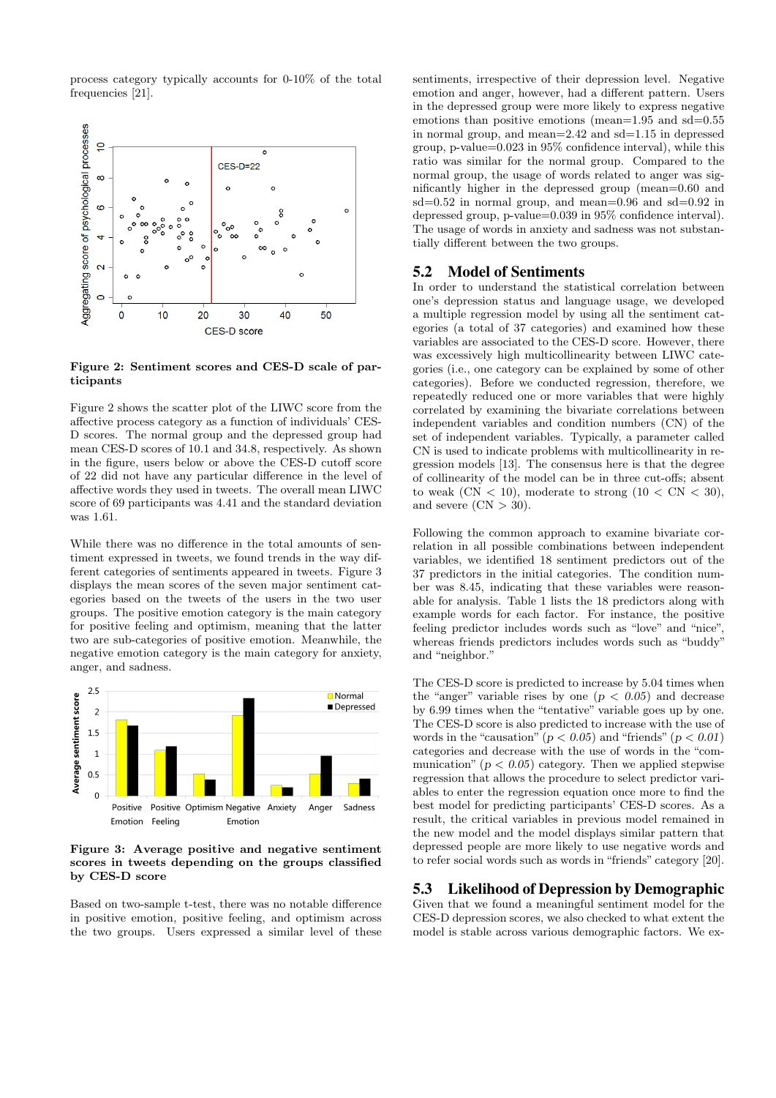process category typically accounts for 0-10% of the total frequencies [21].



Figure 2: Sentiment scores and CES-D scale of participants

Figure 2 shows the scatter plot of the LIWC score from the affective process category as a function of individuals' CES-D scores. The normal group and the depressed group had mean CES-D scores of 10.1 and 34.8, respectively. As shown in the figure, users below or above the CES-D cutoff score of 22 did not have any particular difference in the level of affective words they used in tweets. The overall mean LIWC score of 69 participants was 4.41 and the standard deviation was 1.61.

While there was no difference in the total amounts of sentiment expressed in tweets, we found trends in the way different categories of sentiments appeared in tweets. Figure 3 displays the mean scores of the seven major sentiment categories based on the tweets of the users in the two user groups. The positive emotion category is the main category for positive feeling and optimism, meaning that the latter two are sub-categories of positive emotion. Meanwhile, the negative emotion category is the main category for anxiety, anger, and sadness.



Figure 3: Average positive and negative sentiment scores in tweets depending on the groups classified by CES-D score

Based on two-sample t-test, there was no notable difference in positive emotion, positive feeling, and optimism across the two groups. Users expressed a similar level of these sentiments, irrespective of their depression level. Negative emotion and anger, however, had a different pattern. Users in the depressed group were more likely to express negative emotions than positive emotions (mean=1.95 and sd=0.55 in normal group, and mean=2.42 and sd=1.15 in depressed group, p-value=0.023 in 95% confidence interval), while this ratio was similar for the normal group. Compared to the normal group, the usage of words related to anger was significantly higher in the depressed group (mean=0.60 and  $sd=0.52$  in normal group, and mean=0.96 and  $sd=0.92$  in depressed group, p-value=0.039 in 95% confidence interval). The usage of words in anxiety and sadness was not substantially different between the two groups.

#### 5.2 Model of Sentiments

In order to understand the statistical correlation between one's depression status and language usage, we developed a multiple regression model by using all the sentiment categories (a total of 37 categories) and examined how these variables are associated to the CES-D score. However, there was excessively high multicollinearity between LIWC categories (i.e., one category can be explained by some of other categories). Before we conducted regression, therefore, we repeatedly reduced one or more variables that were highly correlated by examining the bivariate correlations between independent variables and condition numbers (CN) of the set of independent variables. Typically, a parameter called CN is used to indicate problems with multicollinearity in regression models [13]. The consensus here is that the degree of collinearity of the model can be in three cut-offs; absent to weak  $(CN < 10)$ , moderate to strong  $(10 < CN < 30)$ , and severe  $(CN > 30)$ .

Following the common approach to examine bivariate correlation in all possible combinations between independent variables, we identified 18 sentiment predictors out of the 37 predictors in the initial categories. The condition number was 8.45, indicating that these variables were reasonable for analysis. Table 1 lists the 18 predictors along with example words for each factor. For instance, the positive feeling predictor includes words such as "love" and "nice", whereas friends predictors includes words such as "buddy" and "neighbor."

The CES-D score is predicted to increase by 5.04 times when the "anger" variable rises by one  $(p < 0.05)$  and decrease by 6.99 times when the "tentative" variable goes up by one. The CES-D score is also predicted to increase with the use of words in the "causation" ( $p < 0.05$ ) and "friends" ( $p < 0.01$ ) categories and decrease with the use of words in the "communication" ( $p < 0.05$ ) category. Then we applied stepwise regression that allows the procedure to select predictor variables to enter the regression equation once more to find the best model for predicting participants' CES-D scores. As a result, the critical variables in previous model remained in the new model and the model displays similar pattern that depressed people are more likely to use negative words and to refer social words such as words in "friends" category [20].

#### 5.3 Likelihood of Depression by Demographic

Given that we found a meaningful sentiment model for the CES-D depression scores, we also checked to what extent the model is stable across various demographic factors. We ex-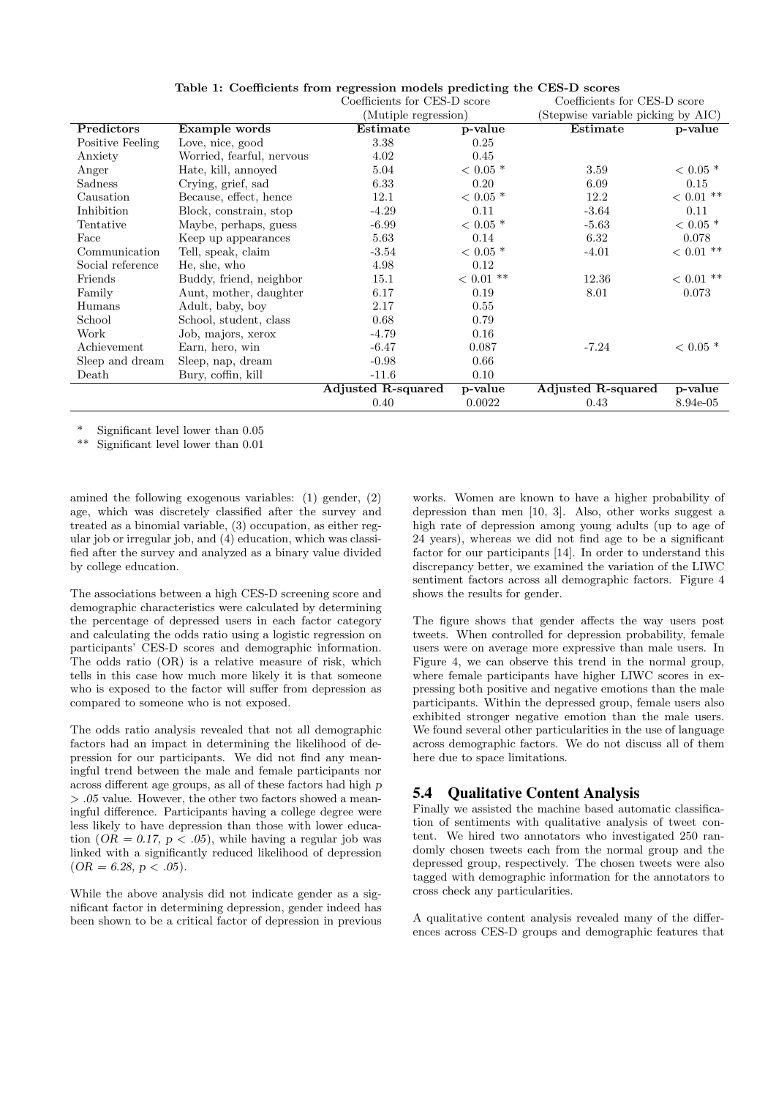|                           | Coefficients for CES-D score |                    | Coefficients for CES-D score       |                        |
|---------------------------|------------------------------|--------------------|------------------------------------|------------------------|
|                           | (Mutiple regression)         |                    | (Stepwise variable picking by AIC) |                        |
| Example words             | Estimate                     | p-value            | Estimate                           | p-value                |
| Love, nice, good          | 3.38                         | 0.25               |                                    |                        |
| Worried, fearful, nervous | 4.02                         | 0.45               |                                    |                        |
| Hate, kill, annoyed       | 5.04                         | $< 0.05$ *         | 3.59                               | $< 0.05$ *             |
| Crying, grief, sad        | 6.33                         | 0.20               | 6.09                               | 0.15                   |
| Because, effect, hence    | 12.1                         | $< 0.05$ *         | 12.2                               | $< 0.01$ **            |
| Block, constrain, stop    | $-4.29$                      | 0.11               | $-3.64$                            | 0.11                   |
| Maybe, perhaps, guess     | $-6.99$                      | $< 0.05$ *         | $-5.63$                            | $< 0.05$ *             |
| Keep up appearances       | 5.63                         | 0.14               | 6.32                               | 0.078                  |
| Tell, speak, claim        | $-3.54$                      | $<$ 0.05 $^{\ast}$ | $-4.01$                            | $<$ 0.01 $^{\ast\ast}$ |
| He, she, who              | 4.98                         | 0.12               |                                    |                        |
| Buddy, friend, neighbor   | 15.1                         | $< 0.01$ **        | 12.36                              | $<$ 0.01 $^{\ast\ast}$ |
| Aunt, mother, daughter    | 6.17                         | 0.19               | 8.01                               | 0.073                  |
| Adult, baby, boy          | 2.17                         | 0.55               |                                    |                        |
|                           | 0.68                         | 0.79               |                                    |                        |
| Job, majors, xerox        | $-4.79$                      | 0.16               |                                    |                        |
| Earn, hero, win           | $-6.47$                      | 0.087              | $-7.24$                            | $< 0.05$ *             |
| Sleep, nap, dream         | $-0.98$                      | 0.66               |                                    |                        |
| Bury, coffin, kill        | $-11.6$                      | 0.10               |                                    |                        |
|                           | Adjusted R-squared           | p-value            | Adjusted R-squared                 | p-value                |
|                           | 0.40                         | 0.0022             | 0.43                               | 8.94e-05               |
|                           | School, student, class       |                    |                                    |                        |

Table 1: Coefficients from regression models predicting the CES-D scores

\* Significant level lower than  $0.05$ <br>\*\* Significant level lower than 0.01

Significant level lower than 0.01

amined the following exogenous variables: (1) gender, (2) age, which was discretely classified after the survey and treated as a binomial variable, (3) occupation, as either regular job or irregular job, and (4) education, which was classified after the survey and analyzed as a binary value divided by college education.

The associations between a high CES-D screening score and demographic characteristics were calculated by determining the percentage of depressed users in each factor category and calculating the odds ratio using a logistic regression on participants' CES-D scores and demographic information. The odds ratio (OR) is a relative measure of risk, which tells in this case how much more likely it is that someone who is exposed to the factor will suffer from depression as compared to someone who is not exposed.

The odds ratio analysis revealed that not all demographic factors had an impact in determining the likelihood of depression for our participants. We did not find any meaningful trend between the male and female participants nor across different age groups, as all of these factors had high p > .05 value. However, the other two factors showed a meaningful difference. Participants having a college degree were less likely to have depression than those with lower education  $(OR = 0.17, p < .05)$ , while having a regular job was linked with a significantly reduced likelihood of depression  $(OR = 6.28, p < .05).$ 

While the above analysis did not indicate gender as a significant factor in determining depression, gender indeed has been shown to be a critical factor of depression in previous

works. Women are known to have a higher probability of depression than men [10, 3]. Also, other works suggest a high rate of depression among young adults (up to age of 24 years), whereas we did not find age to be a significant factor for our participants [14]. In order to understand this discrepancy better, we examined the variation of the LIWC sentiment factors across all demographic factors. Figure 4 shows the results for gender.

The figure shows that gender affects the way users post tweets. When controlled for depression probability, female users were on average more expressive than male users. In Figure 4, we can observe this trend in the normal group, where female participants have higher LIWC scores in expressing both positive and negative emotions than the male participants. Within the depressed group, female users also exhibited stronger negative emotion than the male users. We found several other particularities in the use of language across demographic factors. We do not discuss all of them here due to space limitations.

### 5.4 Qualitative Content Analysis

Finally we assisted the machine based automatic classification of sentiments with qualitative analysis of tweet content. We hired two annotators who investigated 250 randomly chosen tweets each from the normal group and the depressed group, respectively. The chosen tweets were also tagged with demographic information for the annotators to cross check any particularities.

A qualitative content analysis revealed many of the differences across CES-D groups and demographic features that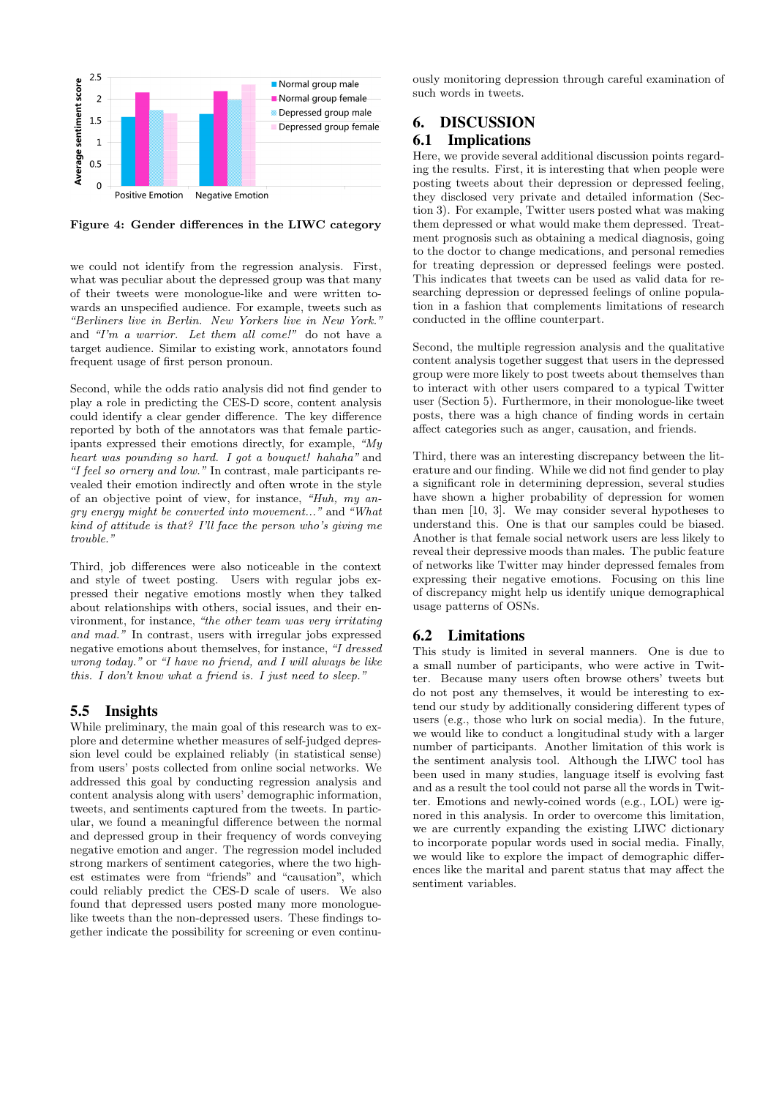

Figure 4: Gender differences in the LIWC category

we could not identify from the regression analysis. First, what was peculiar about the depressed group was that many of their tweets were monologue-like and were written towards an unspecified audience. For example, tweets such as "Berliners live in Berlin. New Yorkers live in New York." and "I'm a warrior. Let them all come!" do not have a target audience. Similar to existing work, annotators found frequent usage of first person pronoun.

Second, while the odds ratio analysis did not find gender to play a role in predicting the CES-D score, content analysis could identify a clear gender difference. The key difference reported by both of the annotators was that female participants expressed their emotions directly, for example, "My heart was pounding so hard. I got a bouquet! hahaha" and "I feel so ornery and low." In contrast, male participants revealed their emotion indirectly and often wrote in the style of an objective point of view, for instance, "Huh, my angry energy might be converted into movement..." and "What kind of attitude is that? I'll face the person who's giving me trouble."

Third, job differences were also noticeable in the context and style of tweet posting. Users with regular jobs expressed their negative emotions mostly when they talked about relationships with others, social issues, and their environment, for instance, "the other team was very irritating and mad." In contrast, users with irregular jobs expressed negative emotions about themselves, for instance, "I dressed wrong today." or "I have no friend, and I will always be like this. I don't know what a friend is. I just need to sleep."

### 5.5 Insights

While preliminary, the main goal of this research was to explore and determine whether measures of self-judged depression level could be explained reliably (in statistical sense) from users' posts collected from online social networks. We addressed this goal by conducting regression analysis and content analysis along with users' demographic information, tweets, and sentiments captured from the tweets. In particular, we found a meaningful difference between the normal and depressed group in their frequency of words conveying negative emotion and anger. The regression model included strong markers of sentiment categories, where the two highest estimates were from "friends" and "causation", which could reliably predict the CES-D scale of users. We also found that depressed users posted many more monologuelike tweets than the non-depressed users. These findings together indicate the possibility for screening or even continu-

ously monitoring depression through careful examination of such words in tweets.

### 6. DISCUSSION 6.1 Implications

Here, we provide several additional discussion points regarding the results. First, it is interesting that when people were posting tweets about their depression or depressed feeling, they disclosed very private and detailed information (Section 3). For example, Twitter users posted what was making them depressed or what would make them depressed. Treatment prognosis such as obtaining a medical diagnosis, going to the doctor to change medications, and personal remedies for treating depression or depressed feelings were posted. This indicates that tweets can be used as valid data for researching depression or depressed feelings of online population in a fashion that complements limitations of research conducted in the offline counterpart.

Second, the multiple regression analysis and the qualitative content analysis together suggest that users in the depressed group were more likely to post tweets about themselves than to interact with other users compared to a typical Twitter user (Section 5). Furthermore, in their monologue-like tweet posts, there was a high chance of finding words in certain affect categories such as anger, causation, and friends.

Third, there was an interesting discrepancy between the literature and our finding. While we did not find gender to play a significant role in determining depression, several studies have shown a higher probability of depression for women than men [10, 3]. We may consider several hypotheses to understand this. One is that our samples could be biased. Another is that female social network users are less likely to reveal their depressive moods than males. The public feature of networks like Twitter may hinder depressed females from expressing their negative emotions. Focusing on this line of discrepancy might help us identify unique demographical usage patterns of OSNs.

### 6.2 Limitations

This study is limited in several manners. One is due to a small number of participants, who were active in Twitter. Because many users often browse others' tweets but do not post any themselves, it would be interesting to extend our study by additionally considering different types of users (e.g., those who lurk on social media). In the future, we would like to conduct a longitudinal study with a larger number of participants. Another limitation of this work is the sentiment analysis tool. Although the LIWC tool has been used in many studies, language itself is evolving fast and as a result the tool could not parse all the words in Twitter. Emotions and newly-coined words (e.g., LOL) were ignored in this analysis. In order to overcome this limitation, we are currently expanding the existing LIWC dictionary to incorporate popular words used in social media. Finally, we would like to explore the impact of demographic differences like the marital and parent status that may affect the sentiment variables.